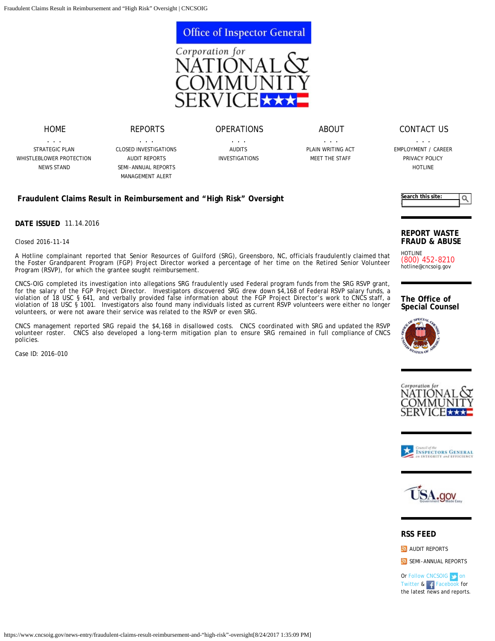

## [OPERATIONS](https://www.cncsoig.gov/operations/audit-plan)

[ABOUT](https://www.cncsoig.gov/about/plain-writing-act)

. . . [STRATEGIC PLAN](https://www.cncsoig.gov/latest-strategic-plan) [WHISTLEBLOWER PROTECTION](https://www.cncsoig.gov/whistleblower-protection) [NEWS STAND](https://www.cncsoig.gov/news)

[HOME](https://www.cncsoig.gov/)

. . . [CLOSED INVESTIGATIONS](https://www.cncsoig.gov/news/closed-cases) [AUDIT REPORTS](https://www.cncsoig.gov/news/audit-reports) [SEMI-ANNUAL REPORTS](https://www.cncsoig.gov/news/semi-annual-reports) [MANAGEMENT ALERT](https://www.cncsoig.gov/about/Management-Alert)

[REPORTS](https://www.cncsoig.gov/news/closed-cases)

. . . [AUDITS](https://www.cncsoig.gov/fy2017-audit-plan) [INVESTIGATIONS](https://www.cncsoig.gov/news/closed-cases)

. . . [PLAIN WRITING ACT](https://www.cncsoig.gov/about/plain-writing-act) [MEET THE STAFF](https://www.cncsoig.gov/about/meet-the-staff)

[CONTACT US](https://www.cncsoig.gov/contact/general-inquiry)

. . . [EMPLOYMENT / CAREER](https://www.cncsoig.gov/job/employment-career) [PRIVACY POLICY](https://www.cncsoig.gov/privacy-policy) [HOTLINE](https://www.cncsoig.gov/hotline)

**Search this site:**

## **Fraudulent Claims Result in Reimbursement and "High Risk" Oversight**

**DATE ISSUED** 11.14.2016

Closed 2016-11-14

A Hotline complainant reported that Senior Resources of Guilford (SRG), Greensboro, NC, officials fraudulently claimed that the Foster Grandparent Program (FGP) Project Director worked a percentage of her time on the Retired Senior Volunteer Program (RSVP), for which the grantee sought reimbursement.

CNCS-OIG completed its investigation into allegations SRG fraudulently used Federal program funds from the SRG RSVP grant, for the salary of the FGP Project Director. Investigators discovered SRG drew down \$4,168 of Federal RSVP salary funds, a violation of 18 USC § 641, and verbally provided false information about the FGP Project Director's work to CNCS staff, a violation of 18 USC § 1001. Investigators also found many individuals listed as current RSVP volunteers were either no longer volunteers, or were not aware their service was related to the RSVP or even SRG.

CNCS management reported SRG repaid the \$4,168 in disallowed costs. CNCS coordinated with SRG and updated the RSVP volunteer roster. CNCS also developed a long-term mitigation plan to ensure SRG remained in full compliance of CNCS policies.

Case ID: 2016-010



Q

HOTLINE (800) 452-8210 [hotline@cncsoig.gov](mailto:hotline@cncsoig.gov)

**The Office of Special Counsel**









## **RSS FEED**

**[AUDIT REPORTS](https://www.cncsoig.gov/rss-audit-report.xml)** 

[SEMI-ANNUAL REPORTS](https://www.cncsoig.gov/rss-semi-annual-reports.xml)

Or [Follow CNCSOIG on](https://twitter.com/CNCSOIG) [Twitter](https://twitter.com/CNCSOIG) & [Facebook](http://www.facebook.com/cncsoig) for the latest news and reports.